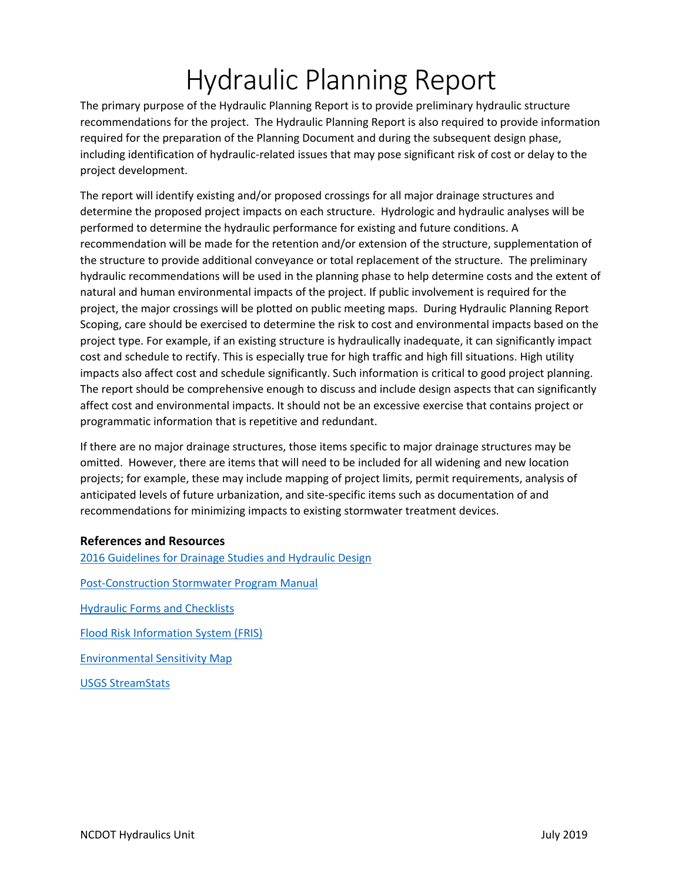# Hydraulic Planning Report

The primary purpose of the Hydraulic Planning Report is to provide preliminary hydraulic structure recommendations for the project. The Hydraulic Planning Report is also required to provide information required for the preparation of the Planning Document and during the subsequent design phase, including identification of hydraulic-related issues that may pose significant risk of cost or delay to the project development.

The report will identify existing and/or proposed crossings for all major drainage structures and determine the proposed project impacts on each structure. Hydrologic and hydraulic analyses will be performed to determine the hydraulic performance for existing and future conditions. A recommendation will be made for the retention and/or extension of the structure, supplementation of the structure to provide additional conveyance or total replacement of the structure. The preliminary hydraulic recommendations will be used in the planning phase to help determine costs and the extent of natural and human environmental impacts of the project. If public involvement is required for the project, the major crossings will be plotted on public meeting maps. During Hydraulic Planning Report Scoping, care should be exercised to determine the risk to cost and environmental impacts based on the project type. For example, if an existing structure is hydraulically inadequate, it can significantly impact cost and schedule to rectify. This is especially true for high traffic and high fill situations. High utility impacts also affect cost and schedule significantly. Such information is critical to good project planning. The report should be comprehensive enough to discuss and include design aspects that can significantly affect cost and environmental impacts. It should not be an excessive exercise that contains project or programmatic information that is repetitive and redundant.

If there are no major drainage structures, those items specific to major drainage structures may be omitted. However, there are items that will need to be included for all widening and new location projects; for example, these may include mapping of project limits, permit requirements, analysis of anticipated levels of future urbanization, and site-specific items such as documentation of and recommendations for minimizing impacts to existing stormwater treatment devices.

# **References and Resources**

[2016 Guidelines for Drainage Studies and Hydraulic Design](https://connect.ncdot.gov/resources/hydro/Hydraulics%20Memos%20Guidelines/_Guidelines_for_Drainage_Studies_and_Hydraulic_Design_2016.pdf) [Post-Construction Stormwater Program Manual](https://connect.ncdot.gov/resources/hydro/Pages/HSPProgramPages.aspx?PGM=PCSP) [Hydraulic Forms and Checklists](https://connect.ncdot.gov/resources/hydro/Pages/Hydraulic-Forms-Checklists.aspx) [Flood Risk Information System \(FRIS\)](https://fris.nc.gov/fris/Home.aspx) [Environmental Sensitivity Map](https://gis13.services.ncdot.gov/esm/) [USGS StreamStats](https://water.usgs.gov/osw/streamstats/)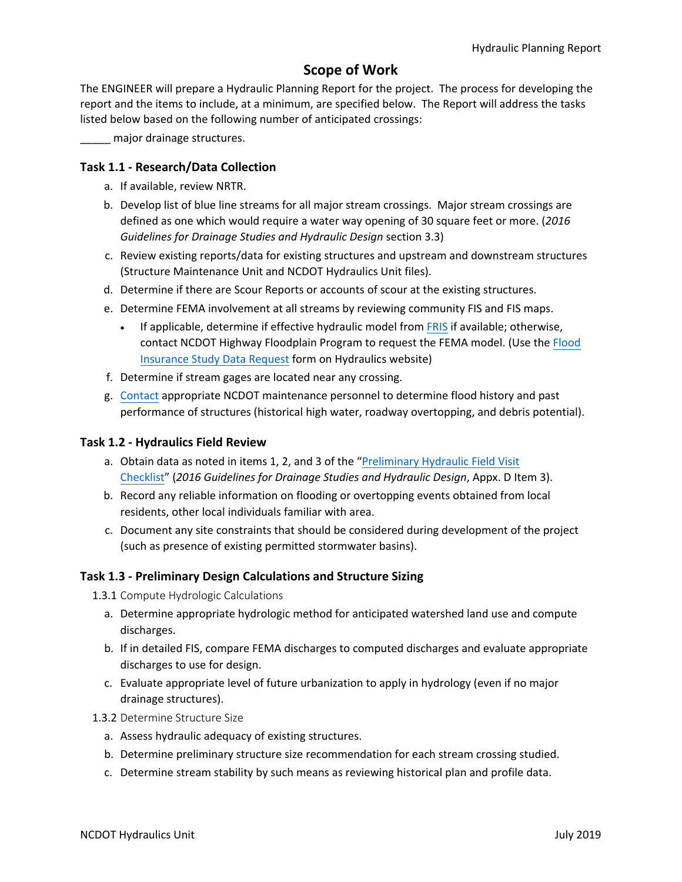# **Scope of Work**

The ENGINEER will prepare a Hydraulic Planning Report for the project. The process for developing the report and the items to include, at a minimum, are specified below. The Report will address the tasks listed below based on the following number of anticipated crossings:

\_\_\_\_\_ major drainage structures.

#### **Task 1.1 - Research/Data Collection**

- a. If available, review NRTR.
- b. Develop list of blue line streams for all major stream crossings. Major stream crossings are defined as one which would require a water way opening of 30 square feet or more. (*2016 Guidelines for Drainage Studies and Hydraulic Design* section 3.3)
- c. Review existing reports/data for existing structures and upstream and downstream structures (Structure Maintenance Unit and NCDOT Hydraulics Unit files).
- d. Determine if there are Scour Reports or accounts of scour at the existing structures.
- e. Determine FEMA involvement at all streams by reviewing community FIS and FIS maps.
	- If applicable, determine if effective hydraulic model from [FRIS](https://fris.nc.gov/fris/Home.aspx) if available; otherwise, contact NCDOT Highway Floodplain Program to request the FEMA model. (Use the [Flood](https://connect.ncdot.gov/resources/hydro/FEMA%20and%20Interagency%20Design/NCDOT%20Flood%20Insurance%20Study%20Data%20Request.pdf) [Insurance Study Data Request](https://connect.ncdot.gov/resources/hydro/FEMA%20and%20Interagency%20Design/NCDOT%20Flood%20Insurance%20Study%20Data%20Request.pdf) form on Hydraulics website)
- f. Determine if stream gages are located near any crossing.
- g. [Contact](https://apps.ncdot.gov/dot/directory/authenticated/ToC.aspx) appropriate NCDOT maintenance personnel to determine flood history and past performance of structures (historical high water, roadway overtopping, and debris potential).

#### **Task 1.2 - Hydraulics Field Review**

- a. [Obtain data as noted in items 1, 2, and 3 of the "Preliminary Hydraulic Field Visit](https://connect.ncdot.gov/resources/hydro/FormsChecklists/Hydraulic%20Field%20Visit%20Checklist.pdf) Checklist" (*2016 Guidelines for Drainage Studies and Hydraulic Design*, Appx. D Item 3).
- b. Record any reliable information on flooding or overtopping events obtained from local residents, other local individuals familiar with area.
- c. Document any site constraints that should be considered during development of the project (such as presence of existing permitted stormwater basins).

# **Task 1.3 - Preliminary Design Calculations and Structure Sizing**

1.3.1 Compute Hydrologic Calculations

- a. Determine appropriate hydrologic method for anticipated watershed land use and compute discharges.
- b. If in detailed FIS, compare FEMA discharges to computed discharges and evaluate appropriate discharges to use for design.
- c. Evaluate appropriate level of future urbanization to apply in hydrology (even if no major drainage structures).
- 1.3.2 Determine Structure Size
	- a. Assess hydraulic adequacy of existing structures.
	- b. Determine preliminary structure size recommendation for each stream crossing studied.
	- c. Determine stream stability by such means as reviewing historical plan and profile data.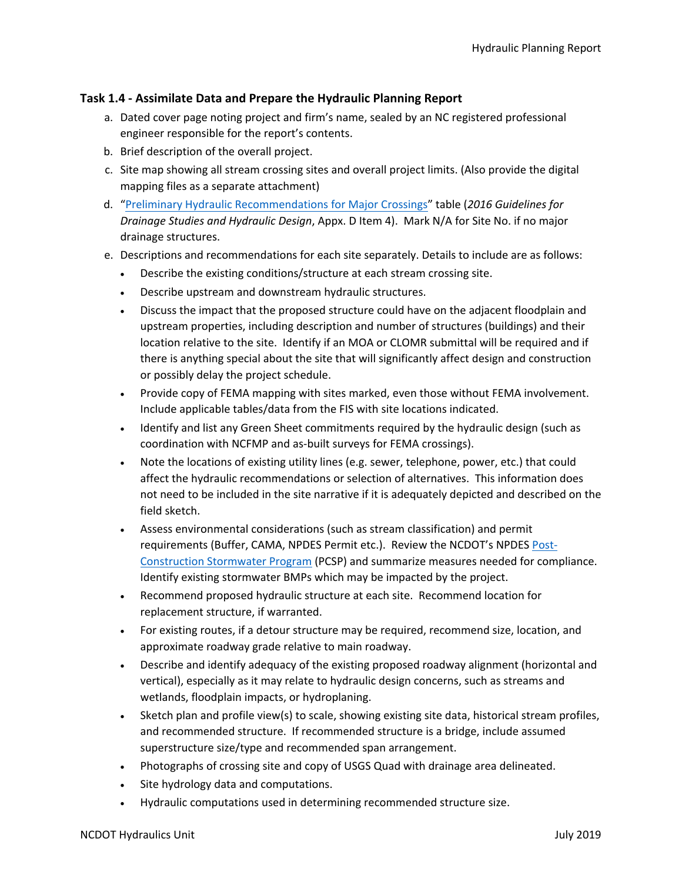# **Task 1.4 - Assimilate Data and Prepare the Hydraulic Planning Report**

- a. Dated cover page noting project and firm's name, sealed by an NC registered professional engineer responsible for the report's contents.
- b. Brief description of the overall project.
- c. Site map showing all stream crossing sites and overall project limits. (Also provide the digital mapping files as a separate attachment)
- d. "[Preliminary Hydraulic Recommendations for Major Crossings](https://connect.ncdot.gov/resources/hydro/FormsChecklists/CP2A%20Preliminary%20Major%20Crossings.zip)" table (*2016 Guidelines for Drainage Studies and Hydraulic Design*, Appx. D Item 4). Mark N/A for Site No. if no major drainage structures.
- e. Descriptions and recommendations for each site separately. Details to include are as follows:
	- Describe the existing conditions/structure at each stream crossing site.
	- Describe upstream and downstream hydraulic structures.
	- Discuss the impact that the proposed structure could have on the adjacent floodplain and upstream properties, including description and number of structures (buildings) and their location relative to the site. Identify if an MOA or CLOMR submittal will be required and if there is anything special about the site that will significantly affect design and construction or possibly delay the project schedule.
	- Provide copy of FEMA mapping with sites marked, even those without FEMA involvement. Include applicable tables/data from the FIS with site locations indicated.
	- Identify and list any Green Sheet commitments required by the hydraulic design (such as coordination with NCFMP and as-built surveys for FEMA crossings).
	- Note the locations of existing utility lines (e.g. sewer, telephone, power, etc.) that could affect the hydraulic recommendations or selection of alternatives. This information does not need to be included in the site narrative if it is adequately depicted and described on the field sketch.
	- Assess environmental considerations (such as stream classification) and permit requirements (Buffer, CAMA, NPDES Permit etc.). Review the NCDOT's NPDES [Post-](https://connect.ncdot.gov/resources/hydro/Pages/Highway-Stormwater-Program.aspx)[Construction Stormwater Program](https://connect.ncdot.gov/resources/hydro/Pages/Highway-Stormwater-Program.aspx) (PCSP) and summarize measures needed for compliance. Identify existing stormwater BMPs which may be impacted by the project.
	- Recommend proposed hydraulic structure at each site. Recommend location for replacement structure, if warranted.
	- For existing routes, if a detour structure may be required, recommend size, location, and approximate roadway grade relative to main roadway.
	- Describe and identify adequacy of the existing proposed roadway alignment (horizontal and vertical), especially as it may relate to hydraulic design concerns, such as streams and wetlands, floodplain impacts, or hydroplaning.
	- Sketch plan and profile view(s) to scale, showing existing site data, historical stream profiles, and recommended structure. If recommended structure is a bridge, include assumed superstructure size/type and recommended span arrangement.
	- Photographs of crossing site and copy of USGS Quad with drainage area delineated.
	- Site hydrology data and computations.
	- Hydraulic computations used in determining recommended structure size.